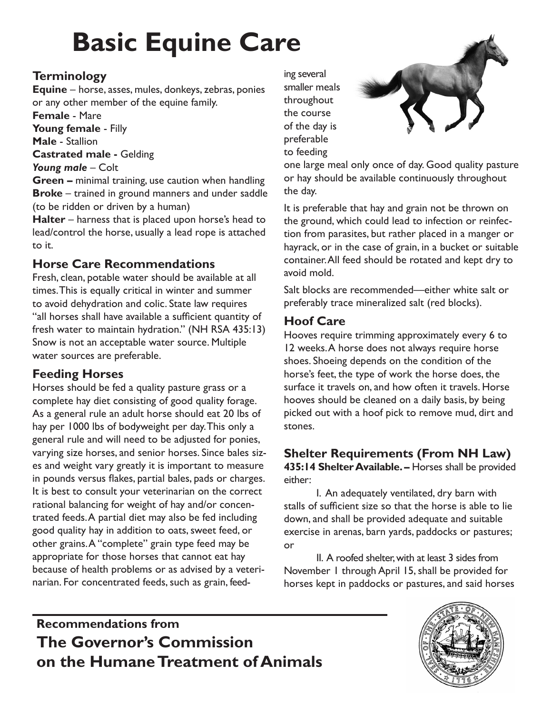# **Basic Equine Care**

#### **Terminology**

**Equine** – horse, asses, mules, donkeys, zebras, ponies or any other member of the equine family.

**Female** - Mare

**Young female** - Filly **Male** - Stallion

**Castrated male -** Gelding

Young male – Colt

**Green –** minimal training, use caution when handling **Broke** – trained in ground manners and under saddle (to be ridden or driven by a human)

**Halter** – harness that is placed upon horse's head to lead/control the horse, usually a lead rope is attached to it.

#### **Horse Care Recommendations**

Fresh, clean, potable water should be available at all times. This is equally critical in winter and summer to avoid dehydration and colic. State law requires "all horses shall have available a sufficient quantity of fresh water to maintain hydration." (NH RSA 435:13) Snow is not an acceptable water source. Multiple water sources are preferable.

#### **Feeding Horses**

Horses should be fed a quality pasture grass or a complete hay diet consisting of good quality forage. As a general rule an adult horse should eat 20 lbs of hay per 1000 lbs of bodyweight per day. This only a general rule and will need to be adjusted for ponies, varying size horses, and senior horses. Since bales sizes and weight vary greatly it is important to measure in pounds versus flakes, partial bales, pads or charges. It is best to consult your veterinarian on the correct rational balancing for weight of hay and/or concentrated feeds. A partial diet may also be fed including good quality hay in addition to oats, sweet feed, or other grains. A "complete" grain type feed may be appropriate for those horses that cannot eat hay because of health problems or as advised by a veterinarian. For concentrated feeds, such as grain, feed-

ing several smaller meals throughout the course of the day is preferable to feeding



one large meal only once of day. Good quality pasture or hay should be available continuously throughout the day.

It is preferable that hay and grain not be thrown on the ground, which could lead to infection or reinfection from parasites, but rather placed in a manger or hayrack, or in the case of grain, in a bucket or suitable container. All feed should be rotated and kept dry to avoid mold.

Salt blocks are recommended—either white salt or preferably trace mineralized salt (red blocks).

#### **Hoof Care**

Hooves require trimming approximately every 6 to 12 weeks. A horse does not always require horse shoes. Shoeing depends on the condition of the horse's feet, the type of work the horse does, the surface it travels on, and how often it travels. Horse hooves should be cleaned on a daily basis, by being picked out with a hoof pick to remove mud, dirt and stones.

#### **Shelter Requirements (From NH Law)**

**435:14 Shelter Available. –** Horses shall be provided either:

I. An adequately ventilated, dry barn with stalls of sufficient size so that the horse is able to lie down, and shall be provided adequate and suitable exercise in arenas, barn yards, paddocks or pastures; or

II. A roofed shelter, with at least 3 sides from November 1 through April 15, shall be provided for horses kept in paddocks or pastures, and said horses

## **Recommendations from The Governor's Commission on the Humane Treatment of Animals**